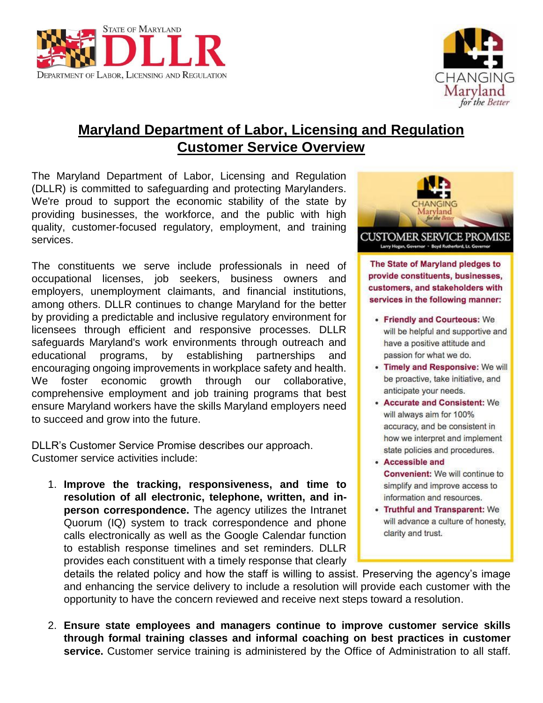



## **Maryland Department of Labor, Licensing and Regulation Customer Service Overview**

The Maryland Department of Labor, Licensing and Regulation (DLLR) is committed to safeguarding and protecting Marylanders. We're proud to support the economic stability of the state by providing businesses, the workforce, and the public with high quality, customer-focused regulatory, employment, and training services.

The constituents we serve include professionals in need of occupational licenses, job seekers, business owners and employers, unemployment claimants, and financial institutions, among others. DLLR continues to change Maryland for the better by providing a predictable and inclusive regulatory environment for licensees through efficient and responsive processes. DLLR safeguards Maryland's work environments through outreach and educational programs, by establishing partnerships and encouraging ongoing improvements in workplace safety and health. We foster economic growth through our collaborative, comprehensive employment and job training programs that best ensure Maryland workers have the skills Maryland employers need to succeed and grow into the future.

DLLR's Customer Service Promise describes our approach. Customer service activities include:

1. **Improve the tracking, responsiveness, and time to resolution of all electronic, telephone, written, and inperson correspondence.** The agency utilizes the Intranet Quorum (IQ) system to track correspondence and phone calls electronically as well as the Google Calendar function to establish response timelines and set reminders. DLLR provides each constituent with a timely response that clearly



provide constituents, businesses, customers, and stakeholders with services in the following manner:

- Friendly and Courteous: We will be helpful and supportive and have a positive attitude and passion for what we do.
- Timely and Responsive: We will be proactive, take initiative, and anticipate your needs.
- Accurate and Consistent: We will always aim for 100% accuracy, and be consistent in how we interpret and implement state policies and procedures.
- Accessible and **Convenient:** We will continue to simplify and improve access to information and resources.
- Truthful and Transparent: We will advance a culture of honesty, clarity and trust.

details the related policy and how the staff is willing to assist. Preserving the agency's image and enhancing the service delivery to include a resolution will provide each customer with the opportunity to have the concern reviewed and receive next steps toward a resolution.

2. **Ensure state employees and managers continue to improve customer service skills through formal training classes and informal coaching on best practices in customer service.** Customer service training is administered by the Office of Administration to all staff.